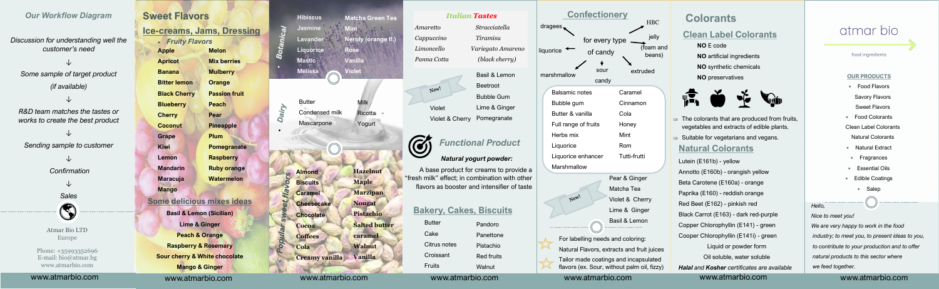Milk

**Ricotta** 

**Yogurt** 

Butter Condensed milk Mascarpone

Dairy

### *Our Workflow Diagram*

*Discussion for understanding well the customer's need*

*↓ Some sample of target product (if available)*

*↓*

*R&D team matches the tastes or works to create the best product* 

*↓ Sending sample to customer*

> *↓ Confirmation*

> > *↓*



Atmar Bio LTD Europe

Phone: +35993352696 E-mail: bio@atmar.bg www.atmarbio.com

## **Sweet Flavors**

Basil & Lemon Beetroot Bubble Gum Lime & Ginger Violet & Cherry Pomegranate

**Apple Apricot Banana Bitter lemon Black Cherry Blueberry Cherry Coconut Grape Kiwi Lemon Mandarin Maracuja Mango Melon Mix berries Mulberry Orange Passion fruit Peach Pear Pineapple Plum Pomegranate Raspberry Ruby orange Watermelon**

**Ice-creams, Jams, Dressing** • *Fruity Flavors*

### **Some delicious mixes ideas**

**Butter** Cake Citrus notes Croissant Fruits

- Pandoro Panettone Pistachio Red fruits
	- **Walnut**

**Basil & Lemon (Sicilian) Lime & Ginger Peach & Orange Raspberry & Rosemary Sour cherry & White chocolate Mango & Ginger**

www.atmarbio.com www.atmarbio.com www.atmarbio.com www.atmarbio.com www.atmarbio.com www.atmarbio.com www.atmarbio.com



| <b>Confectionery</b>                                       |  |  |
|------------------------------------------------------------|--|--|
| <b>HBC</b>                                                 |  |  |
| jelly<br>for every type<br>(foam and<br>beans)<br>extruded |  |  |
|                                                            |  |  |
| Caramel                                                    |  |  |
| Cinnamon                                                   |  |  |
| Cola                                                       |  |  |
| Honey                                                      |  |  |
| Mint                                                       |  |  |
| Rom                                                        |  |  |
| Tutti-frutti                                               |  |  |
|                                                            |  |  |
|                                                            |  |  |

New!

**Almond Biscuits Caramel Cheesecake Chocolate Cocoa Coffees Cola Creamy vanilla** Vanilla **Hazelnut Maple Marzipan Nougat Pistachio Salted butter caramel Walnut**

Violet



www.atmarbio.com www.atmarbio.com

### *Italian Tastes*

*Cappuccino Tiramisu*

New!

*Amaretto Stracciatella Limoncello Variegato Amareno Panna Cotta (black cherry)*

- $\Rightarrow$  The colorants that are produced from fruits, vegetables and extracts of edible plants.
- $\Rightarrow$  Suitable for vegetarians and vegans. **Natural Colorants**

## *Functional Product*

### *Natural yogurt powder:*

A base product for creams to provide a "fresh milk" effect; in combination with other flavors as booster and intensifier of taste

## **Bakery, Cakes, Biscuits**

Pear & Ginger Matcha Tea Violet & Cherry Lime & Ginger Basil & Lemon

www.atmarbio.com





For labelling needs and coloring: Natural Flavors, extracts and fruit juices Tailor made coatings and incapsulated flavors (ex. Sour, without palm oil, fizzy)

#### **OUR PRODUCTS**

- Food Flavors Savory Flavors
- Sweet Flavors
- Food Colorants
- Clean Label Colorants Natural Colorants
- Natural Extract
- \* Fragrances
- Essential Oils
- Edible Coatings
	- Salep

#### *Hello,*

#### *Nice to meet you!*

 *We are very happy to work in the food industry; to meet you, to present ideas to you, to contribute to your production and to offer natural products to this sector where we feed together.*

# **Colorants**

## **Clean Label Colorants**

- **NO** E code
- **NO** artificial ingredients
- **NO** synthetic chemicals

**NO** preservatives



Lutein (E161b) - yellow Annotto (E160b) - orangish yellow Beta Carotene (E160a) - orange Paprika (E160) - reddish orange Red Beet (E162) - pinkish red Black Carrot (E163) - dark red-purple Copper Chlorophyllin (E141) - green Cooper Chlorophyllin (E141i) - green Liquid or powder form Oil soluble, water soluble *Halal and Kosher certificates are available*

#### www.atmarbio.com www.atmarbio.com

# atmar bio

#### food ingredients